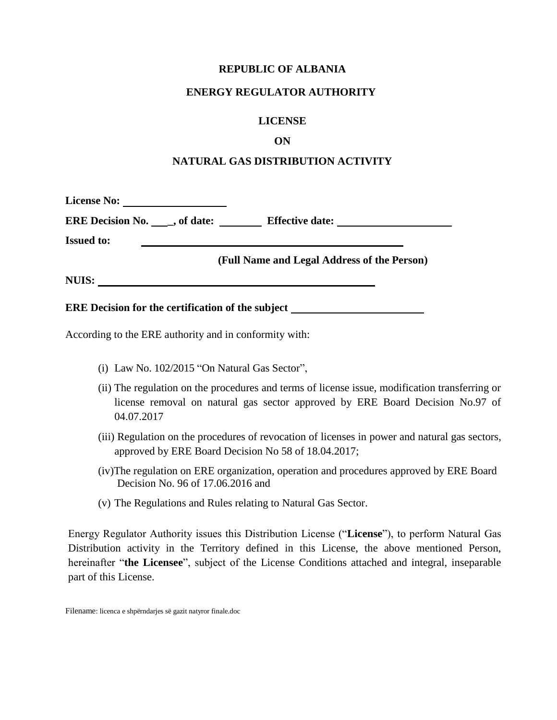### **REPUBLIC OF ALBANIA**

### **ENERGY REGULATOR AUTHORITY**

### **LICENSE**

### **ON**

### **NATURAL GAS DISTRIBUTION ACTIVITY**

| <b>License No:</b>                        | <u> 1989 - John Stone, Amerikaans en </u> |                                             |  |
|-------------------------------------------|-------------------------------------------|---------------------------------------------|--|
| <b>ERE Decision No.</b> $\Box$ , of date: |                                           | <b>Effective date:</b>                      |  |
| <b>Issued to:</b>                         |                                           |                                             |  |
|                                           |                                           | (Full Name and Legal Address of the Person) |  |
| NUIS:                                     |                                           |                                             |  |

### **ERE Decision for the certification of the subject**

According to the ERE authority and in conformity with:

- (i) Law No. 102/2015 "On Natural Gas Sector",
- (ii) The regulation on the procedures and terms of license issue, modification transferring or license removal on natural gas sector approved by ERE Board Decision No.97 of 04.07.2017
- (iii) Regulation on the procedures of revocation of licenses in power and natural gas sectors, approved by ERE Board Decision No 58 of 18.04.2017;
- (iv)The regulation on ERE organization, operation and procedures approved by ERE Board Decision No. 96 of 17.06.2016 and
- (v) The Regulations and Rules relating to Natural Gas Sector.

Energy Regulator Authority issues this Distribution License ("**License**"), to perform Natural Gas Distribution activity in the Territory defined in this License, the above mentioned Person, hereinafter "**the Licensee**", subject of the License Conditions attached and integral, inseparable part of this License.

Filename: licenca e shpërndarjes së gazit natyror finale.doc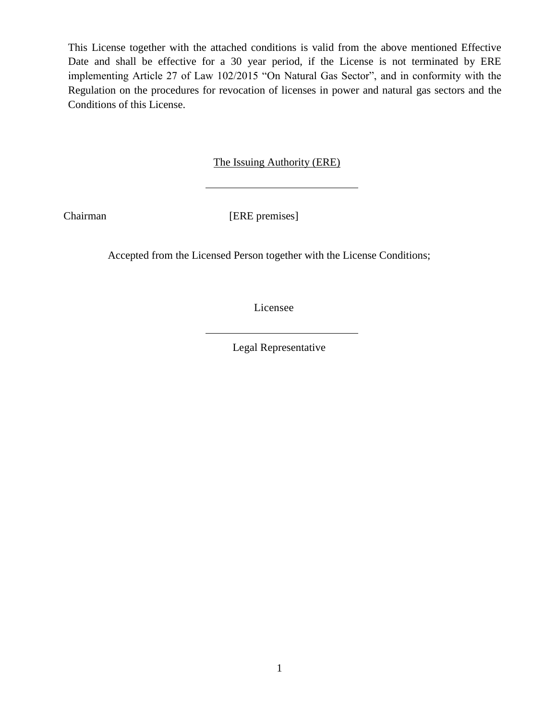This License together with the attached conditions is valid from the above mentioned Effective Date and shall be effective for a 30 year period, if the License is not terminated by ERE implementing Article 27 of Law 102/2015 "On Natural Gas Sector", and in conformity with the Regulation on the procedures for revocation of licenses in power and natural gas sectors and the Conditions of this License.

The Issuing Authority (ERE)

Chairman [ERE premises]

Accepted from the Licensed Person together with the License Conditions;

Licensee

Legal Representative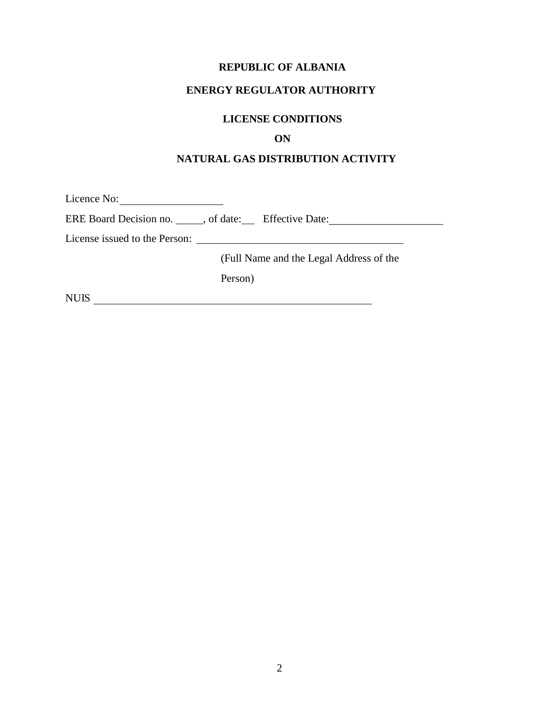# **REPUBLIC OF ALBANIA**

### **ENERGY REGULATOR AUTHORITY**

# **LICENSE CONDITIONS**

# **ON**

# **NATURAL GAS DISTRIBUTION ACTIVITY**

Licence No: ERE Board Decision no. 6. , of date: Effective Date: License issued to the Person: (Full Name and the Legal Address of the Person) NUIS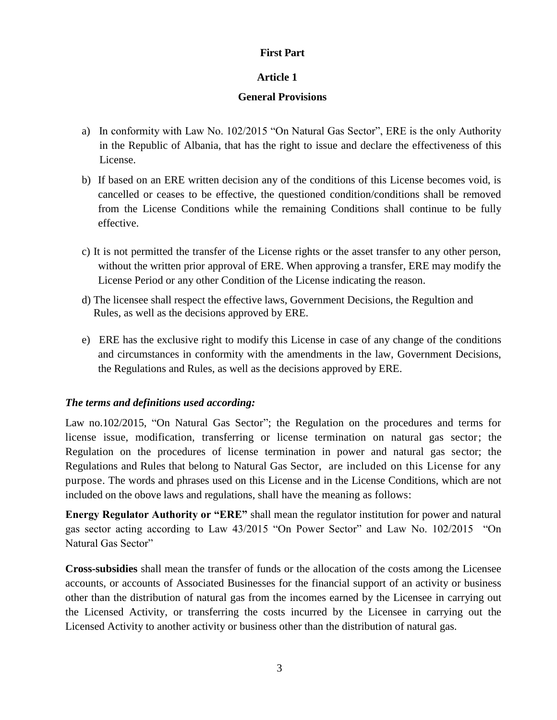# **First Part**

# **Article 1**

# **General Provisions**

- a) In conformity with Law No. 102/2015 "On Natural Gas Sector", ERE is the only Authority in the Republic of Albania, that has the right to issue and declare the effectiveness of this License.
- b) If based on an ERE written decision any of the conditions of this License becomes void, is cancelled or ceases to be effective, the questioned condition/conditions shall be removed from the License Conditions while the remaining Conditions shall continue to be fully effective.
- c) It is not permitted the transfer of the License rights or the asset transfer to any other person, without the written prior approval of ERE. When approving a transfer, ERE may modify the License Period or any other Condition of the License indicating the reason.
- d) The licensee shall respect the effective laws, Government Decisions, the Regultion and Rules, as well as the decisions approved by ERE.
- e) ERE has the exclusive right to modify this License in case of any change of the conditions and circumstances in conformity with the amendments in the law, Government Decisions, the Regulations and Rules, as well as the decisions approved by ERE.

# *The terms and definitions used according:*

Law no.102/2015, "On Natural Gas Sector"; the Regulation on the procedures and terms for license issue, modification, transferring or license termination on natural gas sector; the Regulation on the procedures of license termination in power and natural gas sector; the Regulations and Rules that belong to Natural Gas Sector, are included on this License for any purpose. The words and phrases used on this License and in the License Conditions, which are not included on the obove laws and regulations, shall have the meaning as follows:

**Energy Regulator Authority or "ERE"** shall mean the regulator institution for power and natural gas sector acting according to Law 43/2015 "On Power Sector" and Law No. 102/2015 "On Natural Gas Sector"

**Cross-subsidies** shall mean the transfer of funds or the allocation of the costs among the Licensee accounts, or accounts of Associated Businesses for the financial support of an activity or business other than the distribution of natural gas from the incomes earned by the Licensee in carrying out the Licensed Activity, or transferring the costs incurred by the Licensee in carrying out the Licensed Activity to another activity or business other than the distribution of natural gas.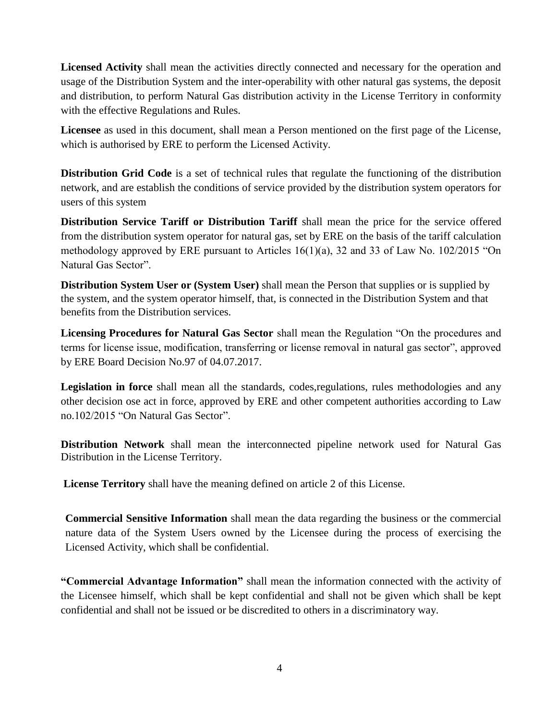**Licensed Activity** shall mean the activities directly connected and necessary for the operation and usage of the Distribution System and the inter-operability with other natural gas systems, the deposit and distribution, to perform Natural Gas distribution activity in the License Territory in conformity with the effective Regulations and Rules.

**Licensee** as used in this document, shall mean a Person mentioned on the first page of the License, which is authorised by ERE to perform the Licensed Activity.

**Distribution Grid Code** is a set of technical rules that regulate the functioning of the distribution network, and are establish the conditions of service provided by the distribution system operators for users of this system

**Distribution Service Tariff or Distribution Tariff** shall mean the price for the service offered from the distribution system operator for natural gas, set by ERE on the basis of the tariff calculation methodology approved by ERE pursuant to Articles 16(1)(a), 32 and 33 of Law No. 102/2015 "On Natural Gas Sector".

**Distribution System User or (System User)** shall mean the Person that supplies or is supplied by the system, and the system operator himself, that, is connected in the Distribution System and that benefits from the Distribution services.

**Licensing Procedures for Natural Gas Sector** shall mean the Regulation "On the procedures and terms for license issue, modification, transferring or license removal in natural gas sector", approved by ERE Board Decision No.97 of 04.07.2017.

**Legislation in force** shall mean all the standards, codes,regulations, rules methodologies and any other decision ose act in force, approved by ERE and other competent authorities according to Law no.102/2015 "On Natural Gas Sector".

**Distribution Network** shall mean the interconnected pipeline network used for Natural Gas Distribution in the License Territory.

**License Territory** shall have the meaning defined on article 2 of this License.

**Commercial Sensitive Information** shall mean the data regarding the business or the commercial nature data of the System Users owned by the Licensee during the process of exercising the Licensed Activity, which shall be confidential.

**"Commercial Advantage Information"** shall mean the information connected with the activity of the Licensee himself, which shall be kept confidential and shall not be given which shall be kept confidential and shall not be issued or be discredited to others in a discriminatory way.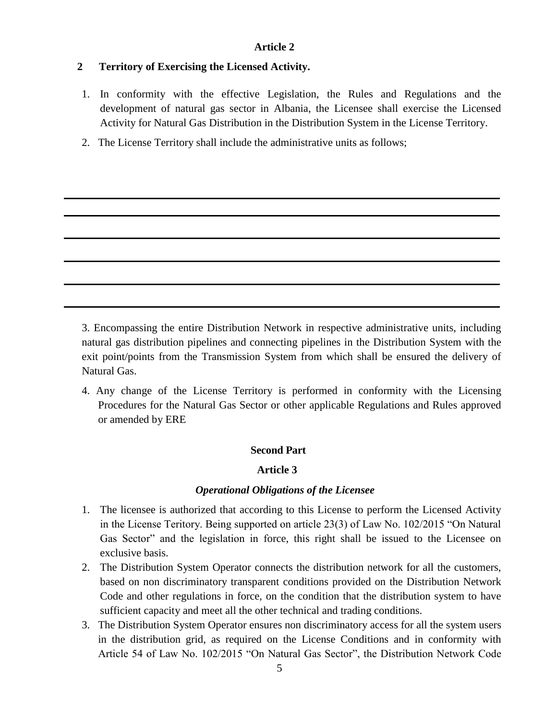# **2 Territory of Exercising the Licensed Activity.**

- 1. In conformity with the effective Legislation, the Rules and Regulations and the development of natural gas sector in Albania, the Licensee shall exercise the Licensed Activity for Natural Gas Distribution in the Distribution System in the License Territory.
- 2. The License Territory shall include the administrative units as follows;

3. Encompassing the entire Distribution Network in respective administrative units, including natural gas distribution pipelines and connecting pipelines in the Distribution System with the exit point/points from the Transmission System from which shall be ensured the delivery of Natural Gas.

4. Any change of the License Territory is performed in conformity with the Licensing Procedures for the Natural Gas Sector or other applicable Regulations and Rules approved or amended by ERE

### **Second Part**

### **Article 3**

### *Operational Obligations of the Licensee*

- 1. The licensee is authorized that according to this License to perform the Licensed Activity in the License Teritory. Being supported on article 23(3) of Law No. 102/2015 "On Natural Gas Sector" and the legislation in force, this right shall be issued to the Licensee on exclusive basis.
- 2. The Distribution System Operator connects the distribution network for all the customers, based on non discriminatory transparent conditions provided on the Distribution Network Code and other regulations in force, on the condition that the distribution system to have sufficient capacity and meet all the other technical and trading conditions.
- 3. The Distribution System Operator ensures non discriminatory access for all the system users in the distribution grid, as required on the License Conditions and in conformity with Article 54 of Law No. 102/2015 "On Natural Gas Sector", the Distribution Network Code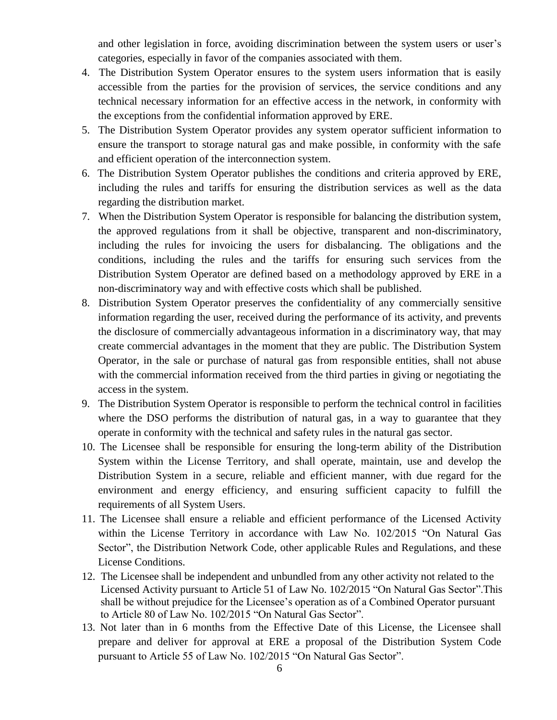and other legislation in force, avoiding discrimination between the system users or user's categories, especially in favor of the companies associated with them.

- 4. The Distribution System Operator ensures to the system users information that is easily accessible from the parties for the provision of services, the service conditions and any technical necessary information for an effective access in the network, in conformity with the exceptions from the confidential information approved by ERE.
- 5. The Distribution System Operator provides any system operator sufficient information to ensure the transport to storage natural gas and make possible, in conformity with the safe and efficient operation of the interconnection system.
- 6. The Distribution System Operator publishes the conditions and criteria approved by ERE, including the rules and tariffs for ensuring the distribution services as well as the data regarding the distribution market.
- 7. When the Distribution System Operator is responsible for balancing the distribution system, the approved regulations from it shall be objective, transparent and non-discriminatory, including the rules for invoicing the users for disbalancing. The obligations and the conditions, including the rules and the tariffs for ensuring such services from the Distribution System Operator are defined based on a methodology approved by ERE in a non-discriminatory way and with effective costs which shall be published.
- 8. Distribution System Operator preserves the confidentiality of any commercially sensitive information regarding the user, received during the performance of its activity, and prevents the disclosure of commercially advantageous information in a discriminatory way, that may create commercial advantages in the moment that they are public. The Distribution System Operator, in the sale or purchase of natural gas from responsible entities, shall not abuse with the commercial information received from the third parties in giving or negotiating the access in the system.
- 9. The Distribution System Operator is responsible to perform the technical control in facilities where the DSO performs the distribution of natural gas, in a way to guarantee that they operate in conformity with the technical and safety rules in the natural gas sector.
- 10. The Licensee shall be responsible for ensuring the long-term ability of the Distribution System within the License Territory, and shall operate, maintain, use and develop the Distribution System in a secure, reliable and efficient manner, with due regard for the environment and energy efficiency, and ensuring sufficient capacity to fulfill the requirements of all System Users.
- 11. The Licensee shall ensure a reliable and efficient performance of the Licensed Activity within the License Territory in accordance with Law No. 102/2015 "On Natural Gas Sector", the Distribution Network Code, other applicable Rules and Regulations, and these License Conditions.
- 12. The Licensee shall be independent and unbundled from any other activity not related to the Licensed Activity pursuant to Article 51 of Law No. 102/2015 "On Natural Gas Sector".This shall be without prejudice for the Licensee's operation as of a Combined Operator pursuant to Article 80 of Law No. 102/2015 "On Natural Gas Sector".
- 13. Not later than in 6 months from the Effective Date of this License, the Licensee shall prepare and deliver for approval at ERE a proposal of the Distribution System Code pursuant to Article 55 of Law No. 102/2015 "On Natural Gas Sector".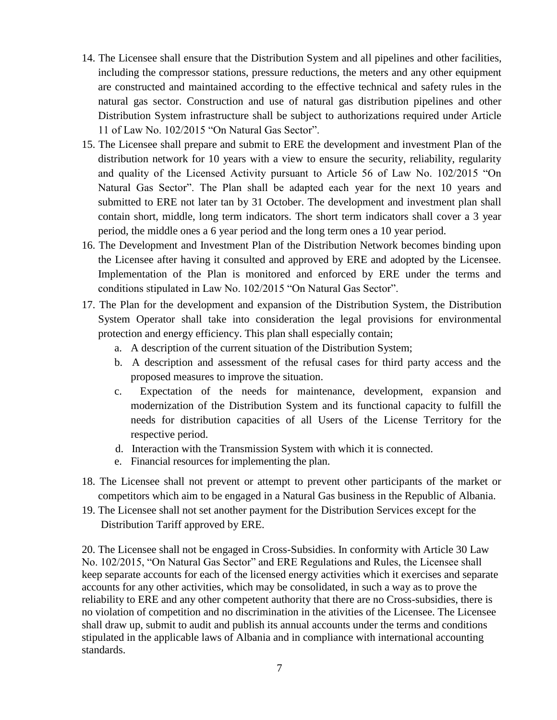- 14. The Licensee shall ensure that the Distribution System and all pipelines and other facilities, including the compressor stations, pressure reductions, the meters and any other equipment are constructed and maintained according to the effective technical and safety rules in the natural gas sector. Construction and use of natural gas distribution pipelines and other Distribution System infrastructure shall be subject to authorizations required under Article 11 of Law No. 102/2015 "On Natural Gas Sector".
- 15. The Licensee shall prepare and submit to ERE the development and investment Plan of the distribution network for 10 years with a view to ensure the security, reliability, regularity and quality of the Licensed Activity pursuant to Article 56 of Law No. 102/2015 "On Natural Gas Sector". The Plan shall be adapted each year for the next 10 years and submitted to ERE not later tan by 31 October. The development and investment plan shall contain short, middle, long term indicators. The short term indicators shall cover a 3 year period, the middle ones a 6 year period and the long term ones a 10 year period.
- 16. The Development and Investment Plan of the Distribution Network becomes binding upon the Licensee after having it consulted and approved by ERE and adopted by the Licensee. Implementation of the Plan is monitored and enforced by ERE under the terms and conditions stipulated in Law No. 102/2015 "On Natural Gas Sector".
- 17. The Plan for the development and expansion of the Distribution System, the Distribution System Operator shall take into consideration the legal provisions for environmental protection and energy efficiency. This plan shall especially contain;
	- a. A description of the current situation of the Distribution System;
	- b. A description and assessment of the refusal cases for third party access and the proposed measures to improve the situation.
	- c. Expectation of the needs for maintenance, development, expansion and modernization of the Distribution System and its functional capacity to fulfill the needs for distribution capacities of all Users of the License Territory for the respective period.
	- d. Interaction with the Transmission System with which it is connected.
	- e. Financial resources for implementing the plan.
- 18. The Licensee shall not prevent or attempt to prevent other participants of the market or competitors which aim to be engaged in a Natural Gas business in the Republic of Albania.
- 19. The Licensee shall not set another payment for the Distribution Services except for the Distribution Tariff approved by ERE.

20. The Licensee shall not be engaged in Cross-Subsidies. In conformity with Article 30 Law No. 102/2015, "On Natural Gas Sector" and ERE Regulations and Rules, the Licensee shall keep separate accounts for each of the licensed energy activities which it exercises and separate accounts for any other activities, which may be consolidated, in such a way as to prove the reliability to ERE and any other competent authority that there are no Cross-subsidies, there is no violation of competition and no discrimination in the ativities of the Licensee. The Licensee shall draw up, submit to audit and publish its annual accounts under the terms and conditions stipulated in the applicable laws of Albania and in compliance with international accounting standards.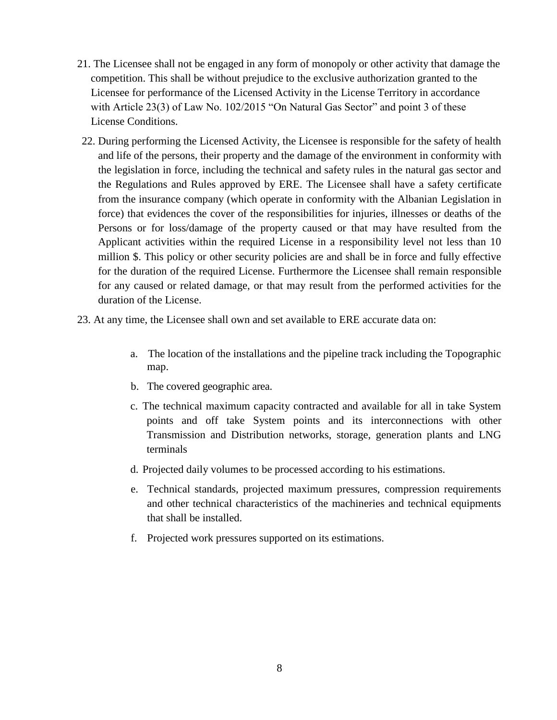- 21. The Licensee shall not be engaged in any form of monopoly or other activity that damage the competition. This shall be without prejudice to the exclusive authorization granted to the Licensee for performance of the Licensed Activity in the License Territory in accordance with Article 23(3) of Law No. 102/2015 "On Natural Gas Sector" and point 3 of these License Conditions.
- 22. During performing the Licensed Activity, the Licensee is responsible for the safety of health and life of the persons, their property and the damage of the environment in conformity with the legislation in force, including the technical and safety rules in the natural gas sector and the Regulations and Rules approved by ERE. The Licensee shall have a safety certificate from the insurance company (which operate in conformity with the Albanian Legislation in force) that evidences the cover of the responsibilities for injuries, illnesses or deaths of the Persons or for loss/damage of the property caused or that may have resulted from the Applicant activities within the required License in a responsibility level not less than 10 million \$. This policy or other security policies are and shall be in force and fully effective for the duration of the required License. Furthermore the Licensee shall remain responsible for any caused or related damage, or that may result from the performed activities for the duration of the License.
- 23. At any time, the Licensee shall own and set available to ERE accurate data on:
	- a. The location of the installations and the pipeline track including the Topographic map.
	- b. The covered geographic area.
	- c. The technical maximum capacity contracted and available for all in take System points and off take System points and its interconnections with other Transmission and Distribution networks, storage, generation plants and LNG terminals
	- d. Projected daily volumes to be processed according to his estimations.
	- e. Technical standards, projected maximum pressures, compression requirements and other technical characteristics of the machineries and technical equipments that shall be installed.
	- f. Projected work pressures supported on its estimations.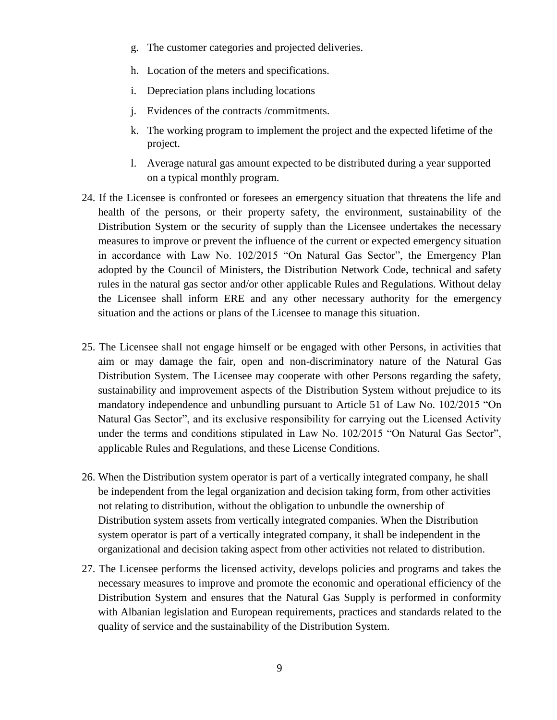- g. The customer categories and projected deliveries.
- h. Location of the meters and specifications.
- i. Depreciation plans including locations
- j. Evidences of the contracts /commitments.
- k. The working program to implement the project and the expected lifetime of the project.
- l. Average natural gas amount expected to be distributed during a year supported on a typical monthly program.
- 24. If the Licensee is confronted or foresees an emergency situation that threatens the life and health of the persons, or their property safety, the environment, sustainability of the Distribution System or the security of supply than the Licensee undertakes the necessary measures to improve or prevent the influence of the current or expected emergency situation in accordance with Law No. 102/2015 "On Natural Gas Sector", the Emergency Plan adopted by the Council of Ministers, the Distribution Network Code, technical and safety rules in the natural gas sector and/or other applicable Rules and Regulations. Without delay the Licensee shall inform ERE and any other necessary authority for the emergency situation and the actions or plans of the Licensee to manage this situation.
- 25. The Licensee shall not engage himself or be engaged with other Persons, in activities that aim or may damage the fair, open and non-discriminatory nature of the Natural Gas Distribution System. The Licensee may cooperate with other Persons regarding the safety, sustainability and improvement aspects of the Distribution System without prejudice to its mandatory independence and unbundling pursuant to Article 51 of Law No. 102/2015 "On Natural Gas Sector", and its exclusive responsibility for carrying out the Licensed Activity under the terms and conditions stipulated in Law No. 102/2015 "On Natural Gas Sector", applicable Rules and Regulations, and these License Conditions.
- 26. When the Distribution system operator is part of a vertically integrated company, he shall be independent from the legal organization and decision taking form, from other activities not relating to distribution, without the obligation to unbundle the ownership of Distribution system assets from vertically integrated companies. When the Distribution system operator is part of a vertically integrated company, it shall be independent in the organizational and decision taking aspect from other activities not related to distribution.
- 27. The Licensee performs the licensed activity, develops policies and programs and takes the necessary measures to improve and promote the economic and operational efficiency of the Distribution System and ensures that the Natural Gas Supply is performed in conformity with Albanian legislation and European requirements, practices and standards related to the quality of service and the sustainability of the Distribution System.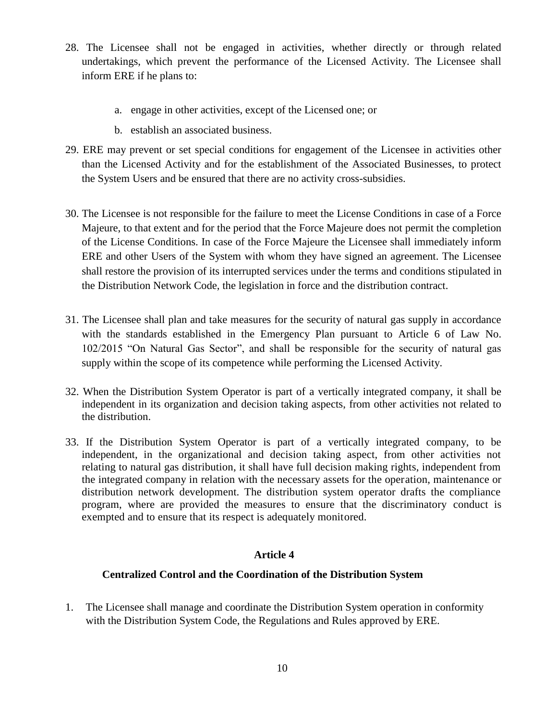- 28. The Licensee shall not be engaged in activities, whether directly or through related undertakings, which prevent the performance of the Licensed Activity. The Licensee shall inform ERE if he plans to:
	- a. engage in other activities, except of the Licensed one; or
	- b. establish an associated business.
- 29. ERE may prevent or set special conditions for engagement of the Licensee in activities other than the Licensed Activity and for the establishment of the Associated Businesses, to protect the System Users and be ensured that there are no activity cross-subsidies.
- 30. The Licensee is not responsible for the failure to meet the License Conditions in case of a Force Majeure, to that extent and for the period that the Force Majeure does not permit the completion of the License Conditions. In case of the Force Majeure the Licensee shall immediately inform ERE and other Users of the System with whom they have signed an agreement. The Licensee shall restore the provision of its interrupted services under the terms and conditions stipulated in the Distribution Network Code, the legislation in force and the distribution contract.
- 31. The Licensee shall plan and take measures for the security of natural gas supply in accordance with the standards established in the Emergency Plan pursuant to Article 6 of Law No. 102/2015 "On Natural Gas Sector", and shall be responsible for the security of natural gas supply within the scope of its competence while performing the Licensed Activity.
- 32. When the Distribution System Operator is part of a vertically integrated company, it shall be independent in its organization and decision taking aspects, from other activities not related to the distribution.
- 33. If the Distribution System Operator is part of a vertically integrated company, to be independent, in the organizational and decision taking aspect, from other activities not relating to natural gas distribution, it shall have full decision making rights, independent from the integrated company in relation with the necessary assets for the operation, maintenance or distribution network development. The distribution system operator drafts the compliance program, where are provided the measures to ensure that the discriminatory conduct is exempted and to ensure that its respect is adequately monitored.

# **Centralized Control and the Coordination of the Distribution System**

1. The Licensee shall manage and coordinate the Distribution System operation in conformity with the Distribution System Code, the Regulations and Rules approved by ERE.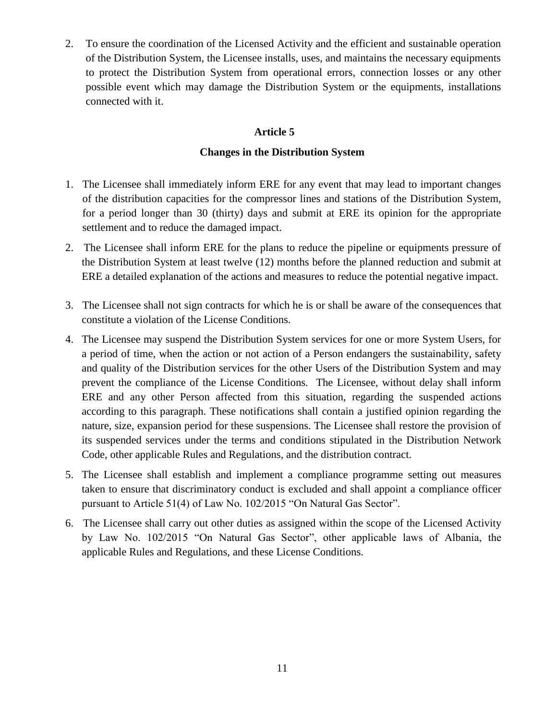2. To ensure the coordination of the Licensed Activity and the efficient and sustainable operation of the Distribution System, the Licensee installs, uses, and maintains the necessary equipments to protect the Distribution System from operational errors, connection losses or any other possible event which may damage the Distribution System or the equipments, installations connected with it.

# **Article 5**

# **Changes in the Distribution System**

- 1. The Licensee shall immediately inform ERE for any event that may lead to important changes of the distribution capacities for the compressor lines and stations of the Distribution System, for a period longer than 30 (thirty) days and submit at ERE its opinion for the appropriate settlement and to reduce the damaged impact.
- 2. The Licensee shall inform ERE for the plans to reduce the pipeline or equipments pressure of the Distribution System at least twelve (12) months before the planned reduction and submit at ERE a detailed explanation of the actions and measures to reduce the potential negative impact.
- 3. The Licensee shall not sign contracts for which he is or shall be aware of the consequences that constitute a violation of the License Conditions.
- 4. The Licensee may suspend the Distribution System services for one or more System Users, for a period of time, when the action or not action of a Person endangers the sustainability, safety and quality of the Distribution services for the other Users of the Distribution System and may prevent the compliance of the License Conditions. The Licensee, without delay shall inform ERE and any other Person affected from this situation, regarding the suspended actions according to this paragraph. These notifications shall contain a justified opinion regarding the nature, size, expansion period for these suspensions. The Licensee shall restore the provision of its suspended services under the terms and conditions stipulated in the Distribution Network Code, other applicable Rules and Regulations, and the distribution contract.
- 5. The Licensee shall establish and implement a compliance programme setting out measures taken to ensure that discriminatory conduct is excluded and shall appoint a compliance officer pursuant to Article 51(4) of Law No. 102/2015 "On Natural Gas Sector".
- 6. The Licensee shall carry out other duties as assigned within the scope of the Licensed Activity by Law No. 102/2015 "On Natural Gas Sector", other applicable laws of Albania, the applicable Rules and Regulations, and these License Conditions.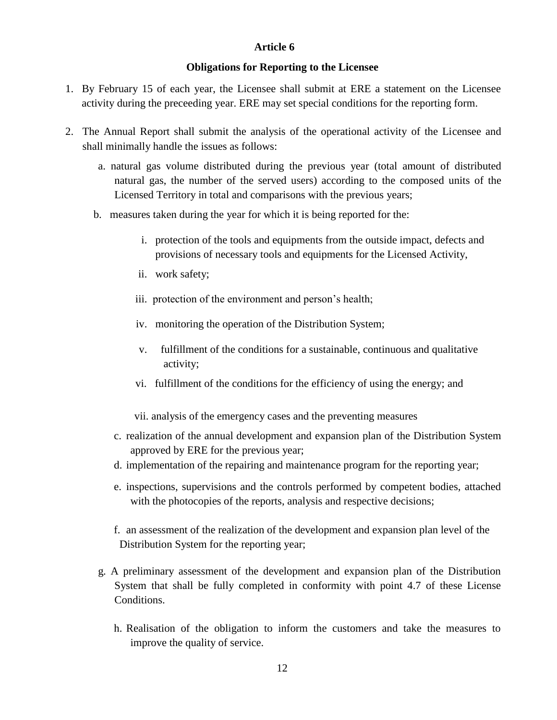## **Obligations for Reporting to the Licensee**

- 1. By February 15 of each year, the Licensee shall submit at ERE a statement on the Licensee activity during the preceeding year. ERE may set special conditions for the reporting form.
- 2. The Annual Report shall submit the analysis of the operational activity of the Licensee and shall minimally handle the issues as follows:
	- a. natural gas volume distributed during the previous year (total amount of distributed natural gas, the number of the served users) according to the composed units of the Licensed Territory in total and comparisons with the previous years;
	- b. measures taken during the year for which it is being reported for the:
		- i. protection of the tools and equipments from the outside impact, defects and provisions of necessary tools and equipments for the Licensed Activity,
		- ii. work safety;
		- iii. protection of the environment and person's health;
		- iv. monitoring the operation of the Distribution System;
		- v. fulfillment of the conditions for a sustainable, continuous and qualitative activity;
		- vi. fulfillment of the conditions for the efficiency of using the energy; and
		- vii. analysis of the emergency cases and the preventing measures
		- c. realization of the annual development and expansion plan of the Distribution System approved by ERE for the previous year;
		- d. implementation of the repairing and maintenance program for the reporting year;
		- e. inspections, supervisions and the controls performed by competent bodies, attached with the photocopies of the reports, analysis and respective decisions;
		- f. an assessment of the realization of the development and expansion plan level of the Distribution System for the reporting year;
	- g. A preliminary assessment of the development and expansion plan of the Distribution System that shall be fully completed in conformity with point 4.7 of these License Conditions.
		- h. Realisation of the obligation to inform the customers and take the measures to improve the quality of service.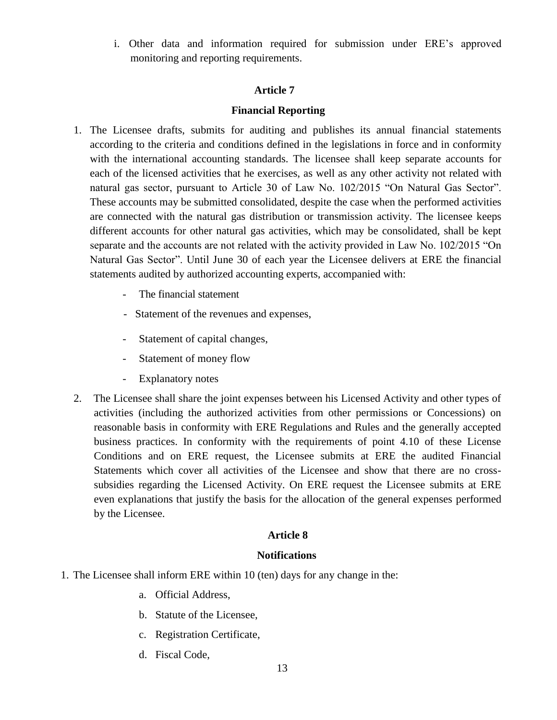i. Other data and information required for submission under ERE's approved monitoring and reporting requirements.

## **Article 7**

# **Financial Reporting**

- 1. The Licensee drafts, submits for auditing and publishes its annual financial statements according to the criteria and conditions defined in the legislations in force and in conformity with the international accounting standards. The licensee shall keep separate accounts for each of the licensed activities that he exercises, as well as any other activity not related with natural gas sector, pursuant to Article 30 of Law No. 102/2015 "On Natural Gas Sector". These accounts may be submitted consolidated, despite the case when the performed activities are connected with the natural gas distribution or transmission activity. The licensee keeps different accounts for other natural gas activities, which may be consolidated, shall be kept separate and the accounts are not related with the activity provided in Law No. 102/2015 "On Natural Gas Sector". Until June 30 of each year the Licensee delivers at ERE the financial statements audited by authorized accounting experts, accompanied with:
	- The financial statement
	- Statement of the revenues and expenses,
	- Statement of capital changes,
	- Statement of money flow
	- Explanatory notes
- 2. The Licensee shall share the joint expenses between his Licensed Activity and other types of activities (including the authorized activities from other permissions or Concessions) on reasonable basis in conformity with ERE Regulations and Rules and the generally accepted business practices. In conformity with the requirements of point 4.10 of these License Conditions and on ERE request, the Licensee submits at ERE the audited Financial Statements which cover all activities of the Licensee and show that there are no crosssubsidies regarding the Licensed Activity. On ERE request the Licensee submits at ERE even explanations that justify the basis for the allocation of the general expenses performed by the Licensee.

## **Article 8**

## **Notifications**

- 1. The Licensee shall inform ERE within 10 (ten) days for any change in the:
	- a. Official Address,
	- b. Statute of the Licensee,
	- c. Registration Certificate,
	- d. Fiscal Code,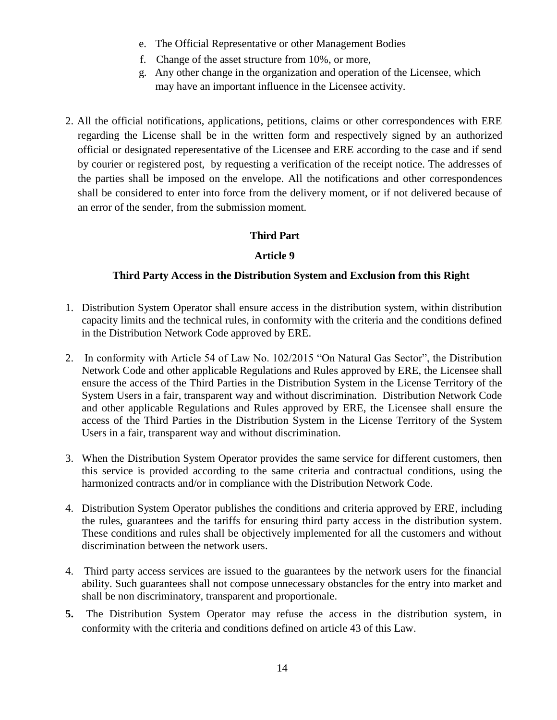- e. The Official Representative or other Management Bodies
- f. Change of the asset structure from 10%, or more,
- g. Any other change in the organization and operation of the Licensee, which may have an important influence in the Licensee activity.
- 2. All the official notifications, applications, petitions, claims or other correspondences with ERE regarding the License shall be in the written form and respectively signed by an authorized official or designated reperesentative of the Licensee and ERE according to the case and if send by courier or registered post, by requesting a verification of the receipt notice. The addresses of the parties shall be imposed on the envelope. All the notifications and other correspondences shall be considered to enter into force from the delivery moment, or if not delivered because of an error of the sender, from the submission moment.

# **Third Part**

# **Article 9**

# **Third Party Access in the Distribution System and Exclusion from this Right**

- 1. Distribution System Operator shall ensure access in the distribution system, within distribution capacity limits and the technical rules, in conformity with the criteria and the conditions defined in the Distribution Network Code approved by ERE.
- 2. In conformity with Article 54 of Law No. 102/2015 "On Natural Gas Sector", the Distribution Network Code and other applicable Regulations and Rules approved by ERE, the Licensee shall ensure the access of the Third Parties in the Distribution System in the License Territory of the System Users in a fair, transparent way and without discrimination. Distribution Network Code and other applicable Regulations and Rules approved by ERE, the Licensee shall ensure the access of the Third Parties in the Distribution System in the License Territory of the System Users in a fair, transparent way and without discrimination.
- 3. When the Distribution System Operator provides the same service for different customers, then this service is provided according to the same criteria and contractual conditions, using the harmonized contracts and/or in compliance with the Distribution Network Code.
- 4. Distribution System Operator publishes the conditions and criteria approved by ERE, including the rules, guarantees and the tariffs for ensuring third party access in the distribution system. These conditions and rules shall be objectively implemented for all the customers and without discrimination between the network users.
- 4. Third party access services are issued to the guarantees by the network users for the financial ability. Such guarantees shall not compose unnecessary obstancles for the entry into market and shall be non discriminatory, transparent and proportionale.
- **5.** The Distribution System Operator may refuse the access in the distribution system, in conformity with the criteria and conditions defined on article 43 of this Law.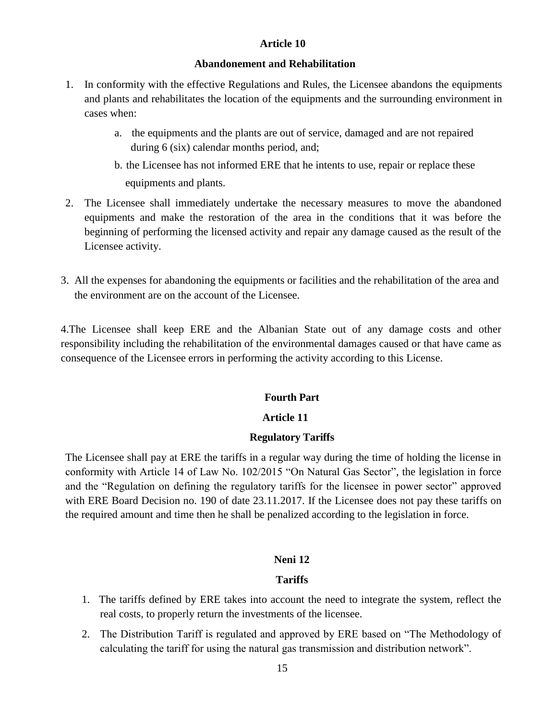#### **Abandonement and Rehabilitation**

- 1. In conformity with the effective Regulations and Rules, the Licensee abandons the equipments and plants and rehabilitates the location of the equipments and the surrounding environment in cases when:
	- a. the equipments and the plants are out of service, damaged and are not repaired during 6 (six) calendar months period, and;
	- b. the Licensee has not informed ERE that he intents to use, repair or replace these equipments and plants.
- 2. The Licensee shall immediately undertake the necessary measures to move the abandoned equipments and make the restoration of the area in the conditions that it was before the beginning of performing the licensed activity and repair any damage caused as the result of the Licensee activity.
- 3. All the expenses for abandoning the equipments or facilities and the rehabilitation of the area and the environment are on the account of the Licensee.

4.The Licensee shall keep ERE and the Albanian State out of any damage costs and other responsibility including the rehabilitation of the environmental damages caused or that have came as consequence of the Licensee errors in performing the activity according to this License.

### **Fourth Part**

## **Article 11**

### **Regulatory Tariffs**

The Licensee shall pay at ERE the tariffs in a regular way during the time of holding the license in conformity with Article 14 of Law No. 102/2015 "On Natural Gas Sector", the legislation in force and the "Regulation on defining the regulatory tariffs for the licensee in power sector" approved with ERE Board Decision no. 190 of date 23.11.2017. If the Licensee does not pay these tariffs on the required amount and time then he shall be penalized according to the legislation in force.

### **Neni 12**

## **Tariffs**

- 1. The tariffs defined by ERE takes into account the need to integrate the system, reflect the real costs, to properly return the investments of the licensee.
- 2. The Distribution Tariff is regulated and approved by ERE based on "The Methodology of calculating the tariff for using the natural gas transmission and distribution network".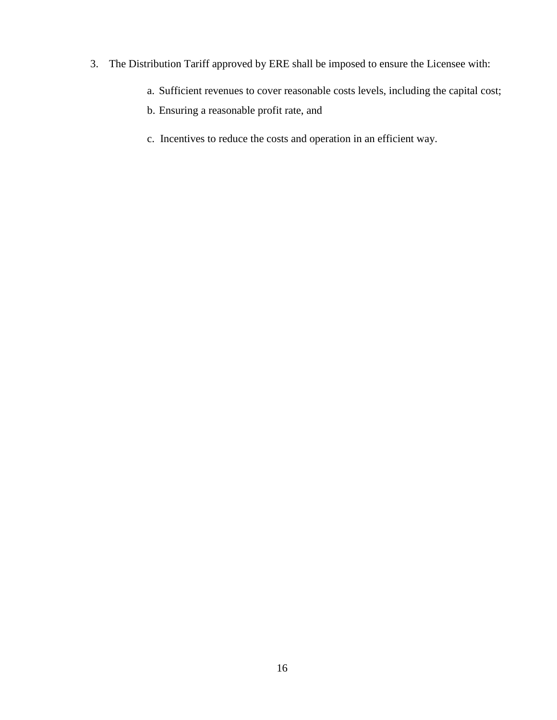- 3. The Distribution Tariff approved by ERE shall be imposed to ensure the Licensee with:
	- a. Sufficient revenues to cover reasonable costs levels, including the capital cost;
	- b. Ensuring a reasonable profit rate, and
	- c. Incentives to reduce the costs and operation in an efficient way.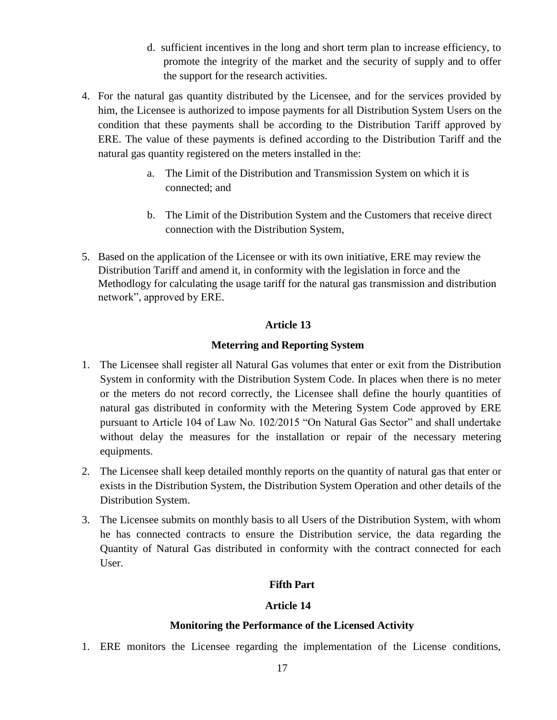- d. sufficient incentives in the long and short term plan to increase efficiency, to promote the integrity of the market and the security of supply and to offer the support for the research activities.
- 4. For the natural gas quantity distributed by the Licensee, and for the services provided by him, the Licensee is authorized to impose payments for all Distribution System Users on the condition that these payments shall be according to the Distribution Tariff approved by ERE. The value of these payments is defined according to the Distribution Tariff and the natural gas quantity registered on the meters installed in the:
	- a. The Limit of the Distribution and Transmission System on which it is connected; and
	- b. The Limit of the Distribution System and the Customers that receive direct connection with the Distribution System,
- 5. Based on the application of the Licensee or with its own initiative, ERE may review the Distribution Tariff and amend it, in conformity with the legislation in force and the Methodlogy for calculating the usage tariff for the natural gas transmission and distribution network", approved by ERE.

# **Meterring and Reporting System**

- 1. The Licensee shall register all Natural Gas volumes that enter or exit from the Distribution System in conformity with the Distribution System Code. In places when there is no meter or the meters do not record correctly, the Licensee shall define the hourly quantities of natural gas distributed in conformity with the Metering System Code approved by ERE pursuant to Article 104 of Law No. 102/2015 "On Natural Gas Sector" and shall undertake without delay the measures for the installation or repair of the necessary metering equipments.
- 2. The Licensee shall keep detailed monthly reports on the quantity of natural gas that enter or exists in the Distribution System, the Distribution System Operation and other details of the Distribution System.
- 3. The Licensee submits on monthly basis to all Users of the Distribution System, with whom he has connected contracts to ensure the Distribution service, the data regarding the Quantity of Natural Gas distributed in conformity with the contract connected for each User.

# **Fifth Part**

## **Article 14**

## **Monitoring the Performance of the Licensed Activity**

1. ERE monitors the Licensee regarding the implementation of the License conditions,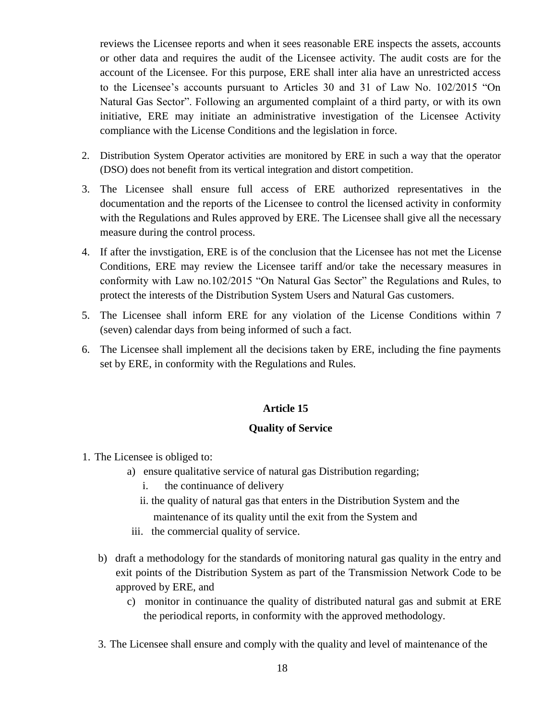reviews the Licensee reports and when it sees reasonable ERE inspects the assets, accounts or other data and requires the audit of the Licensee activity. The audit costs are for the account of the Licensee. For this purpose, ERE shall inter alia have an unrestricted access to the Licensee's accounts pursuant to Articles 30 and 31 of Law No. 102/2015 "On Natural Gas Sector". Following an argumented complaint of a third party, or with its own initiative, ERE may initiate an administrative investigation of the Licensee Activity compliance with the License Conditions and the legislation in force.

- 2. Distribution System Operator activities are monitored by ERE in such a way that the operator (DSO) does not benefit from its vertical integration and distort competition.
- 3. The Licensee shall ensure full access of ERE authorized representatives in the documentation and the reports of the Licensee to control the licensed activity in conformity with the Regulations and Rules approved by ERE. The Licensee shall give all the necessary measure during the control process.
- 4. If after the invstigation, ERE is of the conclusion that the Licensee has not met the License Conditions, ERE may review the Licensee tariff and/or take the necessary measures in conformity with Law no.102/2015 "On Natural Gas Sector" the Regulations and Rules, to protect the interests of the Distribution System Users and Natural Gas customers.
- 5. The Licensee shall inform ERE for any violation of the License Conditions within 7 (seven) calendar days from being informed of such a fact.
- 6. The Licensee shall implement all the decisions taken by ERE, including the fine payments set by ERE, in conformity with the Regulations and Rules.

# **Article 15**

## **Quality of Service**

- 1. The Licensee is obliged to:
	- a) ensure qualitative service of natural gas Distribution regarding;
		- i. the continuance of delivery
		- ii. the quality of natural gas that enters in the Distribution System and the maintenance of its quality until the exit from the System and
	- iii. the commercial quality of service.
	- b) draft a methodology for the standards of monitoring natural gas quality in the entry and exit points of the Distribution System as part of the Transmission Network Code to be approved by ERE, and
		- c) monitor in continuance the quality of distributed natural gas and submit at ERE the periodical reports, in conformity with the approved methodology.
	- 3. The Licensee shall ensure and comply with the quality and level of maintenance of the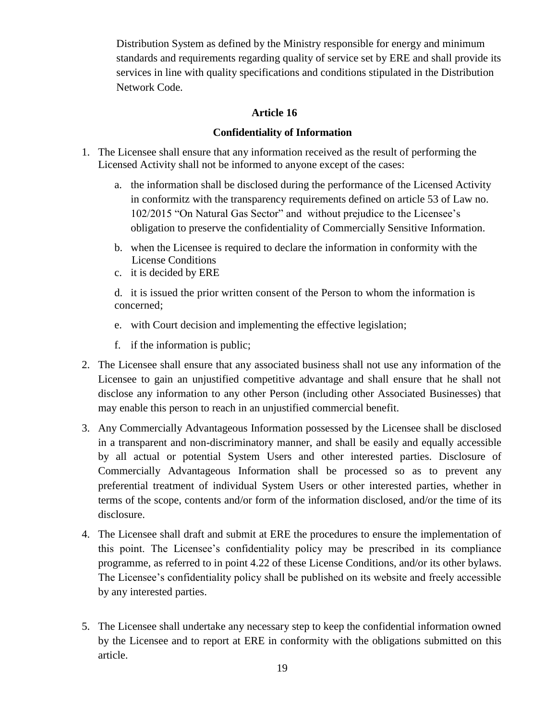Distribution System as defined by the Ministry responsible for energy and minimum standards and requirements regarding quality of service set by ERE and shall provide its services in line with quality specifications and conditions stipulated in the Distribution Network Code.

# **Article 16**

# **Confidentiality of Information**

- 1. The Licensee shall ensure that any information received as the result of performing the Licensed Activity shall not be informed to anyone except of the cases:
	- a. the information shall be disclosed during the performance of the Licensed Activity in conformitz with the transparency requirements defined on article 53 of Law no. 102/2015 "On Natural Gas Sector" and without prejudice to the Licensee's obligation to preserve the confidentiality of Commercially Sensitive Information.
	- b. when the Licensee is required to declare the information in conformity with the License Conditions
	- c. it is decided by ERE

d. it is issued the prior written consent of the Person to whom the information is concerned;

- e. with Court decision and implementing the effective legislation;
- f. if the information is public;
- 2. The Licensee shall ensure that any associated business shall not use any information of the Licensee to gain an unjustified competitive advantage and shall ensure that he shall not disclose any information to any other Person (including other Associated Businesses) that may enable this person to reach in an unjustified commercial benefit.
- 3. Any Commercially Advantageous Information possessed by the Licensee shall be disclosed in a transparent and non-discriminatory manner, and shall be easily and equally accessible by all actual or potential System Users and other interested parties. Disclosure of Commercially Advantageous Information shall be processed so as to prevent any preferential treatment of individual System Users or other interested parties, whether in terms of the scope, contents and/or form of the information disclosed, and/or the time of its disclosure.
- 4. The Licensee shall draft and submit at ERE the procedures to ensure the implementation of this point. The Licensee's confidentiality policy may be prescribed in its compliance programme, as referred to in point 4.22 of these License Conditions, and/or its other bylaws. The Licensee's confidentiality policy shall be published on its website and freely accessible by any interested parties.
- 5. The Licensee shall undertake any necessary step to keep the confidential information owned by the Licensee and to report at ERE in conformity with the obligations submitted on this article.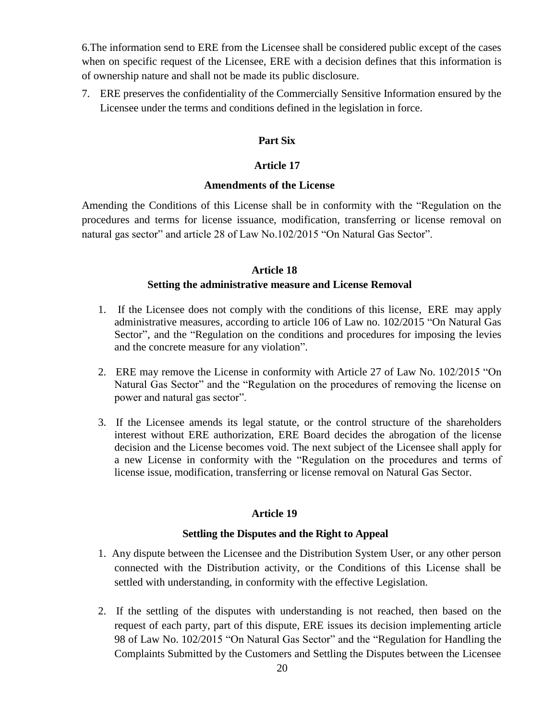6.The information send to ERE from the Licensee shall be considered public except of the cases when on specific request of the Licensee, ERE with a decision defines that this information is of ownership nature and shall not be made its public disclosure.

7. ERE preserves the confidentiality of the Commercially Sensitive Information ensured by the Licensee under the terms and conditions defined in the legislation in force.

## **Part Six**

## **Article 17**

### **Amendments of the License**

Amending the Conditions of this License shall be in conformity with the "Regulation on the procedures and terms for license issuance, modification, transferring or license removal on natural gas sector" and article 28 of Law No.102/2015 "On Natural Gas Sector".

## **Article 18**

## **Setting the administrative measure and License Removal**

- 1. If the Licensee does not comply with the conditions of this license, ERE may apply administrative measures, according to article 106 of Law no. 102/2015 "On Natural Gas Sector", and the "Regulation on the conditions and procedures for imposing the levies and the concrete measure for any violation".
- 2. ERE may remove the License in conformity with Article 27 of Law No. 102/2015 "On Natural Gas Sector" and the "Regulation on the procedures of removing the license on power and natural gas sector".
- 3. If the Licensee amends its legal statute, or the control structure of the shareholders interest without ERE authorization, ERE Board decides the abrogation of the license decision and the License becomes void. The next subject of the Licensee shall apply for a new License in conformity with the "Regulation on the procedures and terms of license issue, modification, transferring or license removal on Natural Gas Sector.

## **Article 19**

### **Settling the Disputes and the Right to Appeal**

- 1. Any dispute between the Licensee and the Distribution System User, or any other person connected with the Distribution activity, or the Conditions of this License shall be settled with understanding, in conformity with the effective Legislation.
- 2. If the settling of the disputes with understanding is not reached, then based on the request of each party, part of this dispute, ERE issues its decision implementing article 98 of Law No. 102/2015 "On Natural Gas Sector" and the "Regulation for Handling the Complaints Submitted by the Customers and Settling the Disputes between the Licensee